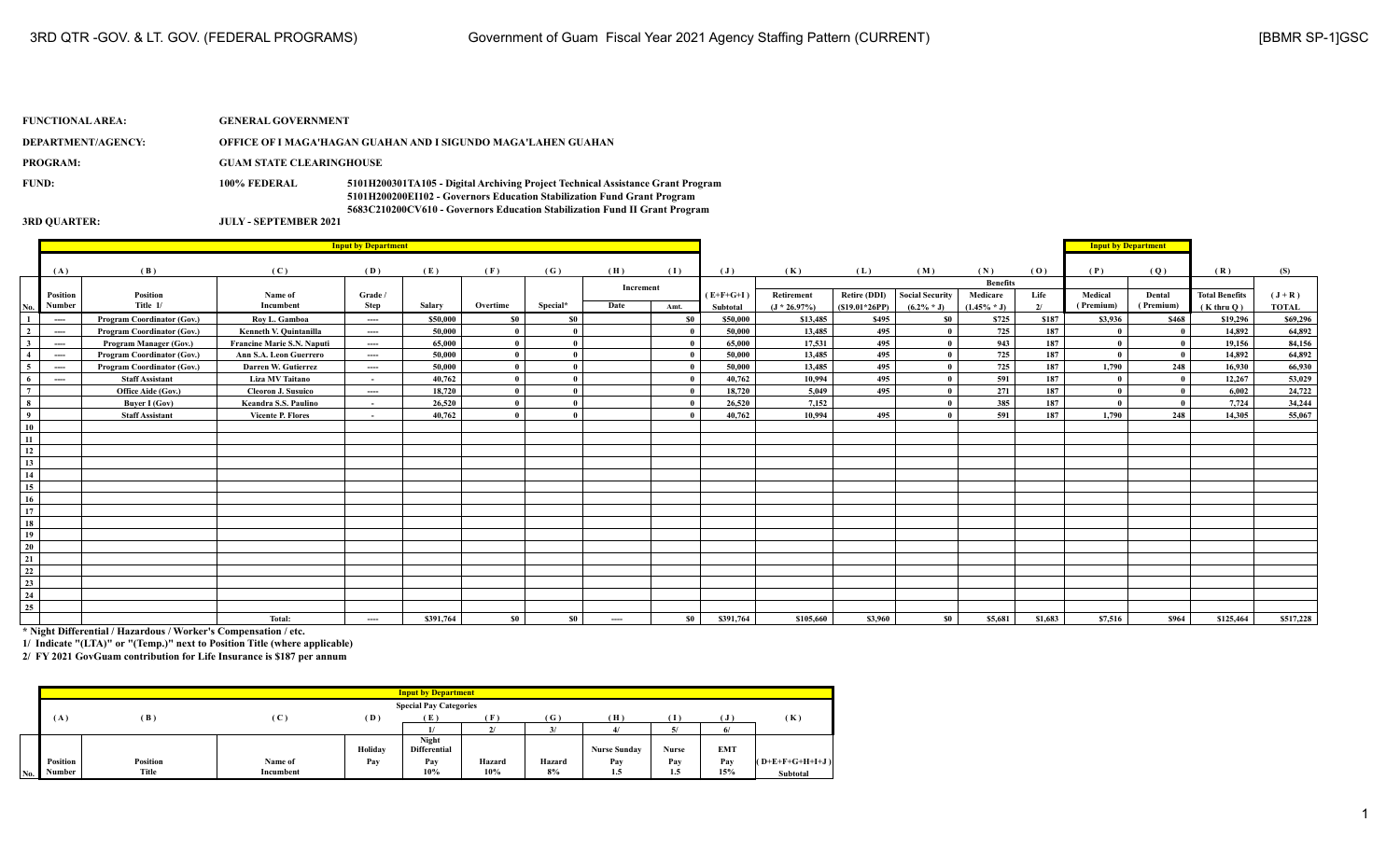## **FUNCTIONAL AREA: GENERAL GOVERNMENT DEPARTMENT/AGENCY: OFFICE OF I MAGA'HAGAN GUAHAN AND I SIGUNDO MAGA'LAHEN GUAHAN PROGRAM: GUAM STATE CLEARINGHOUSE FUND: 100% FEDERAL 5101H200301TA105 - Digital Archiving Project Technical Assistance Grant Program 5101H200200EI102 - Governors Education Stabilization Fund Grant Program 5683C210200CV610 - Governors Education Stabilization Fund II Grant Program 3RD QUARTER: JULY - SEPTEMBER 2021**

|                 |          |                            |                            | <b>Input by Department</b> |           |              |              |           |       |                |                 |                 |                        |                 |         | <b>Input by Department</b> |           |                       |              |
|-----------------|----------|----------------------------|----------------------------|----------------------------|-----------|--------------|--------------|-----------|-------|----------------|-----------------|-----------------|------------------------|-----------------|---------|----------------------------|-----------|-----------------------|--------------|
|                 |          |                            |                            |                            |           |              |              |           |       |                |                 |                 |                        |                 |         |                            |           |                       |              |
|                 | (A)      | (B)                        | (C)                        | (D)                        | (E)       | (F)          | (G)          | (H)       | (1)   | $(\mathbf{J})$ | (K)             | (L)             | (M)                    | (N)             | (0)     | (P)                        | (Q)       | (R)                   | (S)          |
|                 |          |                            |                            |                            |           |              |              | Increment |       |                |                 |                 |                        | <b>Benefits</b> |         |                            |           |                       |              |
|                 | Position | Position                   | Name of                    | Grade /                    |           |              |              |           |       | $(E+F+G+I)$    | Retirement      | Retire (DDI)    | <b>Social Security</b> | Medicare        | Life    | Medical                    | Dental    | <b>Total Benefits</b> | $(J+R)$      |
| No.             | Number   | Title 1/                   | Incumbent                  | Step                       | Salary    | Overtime     | Special*     | Date      | Amt.  | Subtotal       | $(J * 26.97\%)$ | $(S19.01*26PP)$ | $(6.2\% * J)$          | $(1.45\% * J)$  | 2/      | (Premium)                  | (Premium) | $(K$ thru $O)$        | <b>TOTAL</b> |
| $\mathbf{1}$    | $---$    | Program Coordinator (Gov.) | Rov L. Gamboa              | ----                       | \$50,000  | <b>SO</b>    | \$0          |           | - \$0 | \$50,000       | \$13,485        | \$495           | \$0                    | \$725           | \$187   | \$3,936                    | \$468     | \$19,296              | \$69,296     |
| $\overline{2}$  | $---$    | Program Coordinator (Gov.) | Kenneth V. Quintanilla     | ----                       | 50,000    | $\mathbf{0}$ |              |           |       | 50,000         | 13,485          | 495             |                        | 725             | 187     |                            |           | 14,892                | 64,892       |
| $\mathbf{3}$    | ----     | Program Manager (Gov.)     | Francine Marie S.N. Naputi | ----                       | 65,000    | $\theta$     |              |           |       | 65,000         | 17,531          | 495             |                        | 943             | 187     |                            |           | 19,156                | 84,156       |
| $\overline{4}$  | $---$    | Program Coordinator (Gov.) | Ann S.A. Leon Guerrero     | ----                       | 50,000    | $\theta$     | $\Omega$     |           |       | 50,000         | 13,485          | 495             |                        | 725             | 187     |                            |           | 14,892                | 64,892       |
| $\sqrt{5}$      | $---$    | Program Coordinator (Gov.) | Darren W. Gutierrez        | $---$                      | 50,000    | $\theta$     |              |           |       | 50,000         | 13,485          | 495             |                        | 725             | 187     | 1,790                      | 248       | 16,930                | 66,930       |
| - 6             | ----     | <b>Staff Assistant</b>     | <b>Liza MV Taitano</b>     | $\sim$                     | 40,762    | $\theta$     |              |           |       | 40,762         | 10,994          | 495             |                        | 591             | 187     |                            |           | 12,267                | 53,029       |
| $7\overline{ }$ |          | Office Aide (Gov.)         | <b>Cleoron J. Susuico</b>  | ----                       | 18,720    | $\mathbf{0}$ | $\mathbf{a}$ |           |       | 18,720         | 5,049           | 495             |                        | 271             | 187     |                            |           | 6,002                 | 24,722       |
| $\bf8$          |          | <b>Buver I (Gov)</b>       | Keandra S.S. Paulino       | $\sim$                     | 26,520    | $\theta$     |              |           |       | 26,520         | 7,152           |                 |                        | 385             | 187     |                            |           | 7,724                 | 34,244       |
| $\overline{9}$  |          | <b>Staff Assistant</b>     | <b>Vicente P. Flores</b>   | $\sim$                     | 40,762    | $\theta$     |              |           |       | 40,762         | 10,994          | 495             |                        | 591             | 187     | 1,790                      | 248       | 14,305                | 55,067       |
| 10              |          |                            |                            |                            |           |              |              |           |       |                |                 |                 |                        |                 |         |                            |           |                       |              |
| 11              |          |                            |                            |                            |           |              |              |           |       |                |                 |                 |                        |                 |         |                            |           |                       |              |
| 12              |          |                            |                            |                            |           |              |              |           |       |                |                 |                 |                        |                 |         |                            |           |                       |              |
| 13              |          |                            |                            |                            |           |              |              |           |       |                |                 |                 |                        |                 |         |                            |           |                       |              |
| 14              |          |                            |                            |                            |           |              |              |           |       |                |                 |                 |                        |                 |         |                            |           |                       |              |
| 15              |          |                            |                            |                            |           |              |              |           |       |                |                 |                 |                        |                 |         |                            |           |                       |              |
| 16              |          |                            |                            |                            |           |              |              |           |       |                |                 |                 |                        |                 |         |                            |           |                       |              |
| 17              |          |                            |                            |                            |           |              |              |           |       |                |                 |                 |                        |                 |         |                            |           |                       |              |
| 18              |          |                            |                            |                            |           |              |              |           |       |                |                 |                 |                        |                 |         |                            |           |                       |              |
| 19              |          |                            |                            |                            |           |              |              |           |       |                |                 |                 |                        |                 |         |                            |           |                       |              |
| 20              |          |                            |                            |                            |           |              |              |           |       |                |                 |                 |                        |                 |         |                            |           |                       |              |
| 21              |          |                            |                            |                            |           |              |              |           |       |                |                 |                 |                        |                 |         |                            |           |                       |              |
| 22              |          |                            |                            |                            |           |              |              |           |       |                |                 |                 |                        |                 |         |                            |           |                       |              |
| 23              |          |                            |                            |                            |           |              |              |           |       |                |                 |                 |                        |                 |         |                            |           |                       |              |
| 24              |          |                            |                            |                            |           |              |              |           |       |                |                 |                 |                        |                 |         |                            |           |                       |              |
| $\overline{25}$ |          |                            |                            |                            |           |              |              |           |       |                |                 |                 |                        |                 |         |                            |           |                       |              |
|                 |          |                            | Total:                     | ----                       | \$391,764 | <b>SO</b>    | \$0          | ----      | \$0   | \$391,764      | \$105,660       | \$3,960         | SO.                    | \$5,681         | \$1,683 | \$7,516                    | \$964     | \$125,464             | \$517,228    |

**\* Night Differential / Hazardous / Worker's Compensation / etc.**

**1/ Indicate "(LTA)" or "(Temp.)" next to Position Title (where applicable)**

|     |          |              |                |         | <b>Input by Department</b>    |        |        |                     |              |                 |                   |
|-----|----------|--------------|----------------|---------|-------------------------------|--------|--------|---------------------|--------------|-----------------|-------------------|
|     |          |              |                |         | <b>Special Pay Categories</b> |        |        |                     |              |                 |                   |
|     | (A)      | (B)          | $(\mathbf{C})$ | (D)     |                               | F      | (G)    | (H)                 | Т            | ு               | (K)               |
|     |          |              |                |         |                               |        |        |                     |              | 0               |                   |
|     |          |              |                |         | <b>Night</b>                  |        |        |                     |              |                 |                   |
|     |          |              |                | Holiday | <b>Differential</b>           |        |        | <b>Nurse Sunday</b> | <b>Nurse</b> | EM <sub>1</sub> |                   |
|     | Position | Position     | Name of        | Pay     | Pay                           | Hazard | Hazard | Pav                 | Pay          | Pav             | $(O+E+F+G+H+I+J)$ |
| No. | Number   | <b>Title</b> | Incumbent      |         | $10\%$                        | 10%    | 8%     | 1.5                 | 1.5          | 15%             | <b>Subtotal</b>   |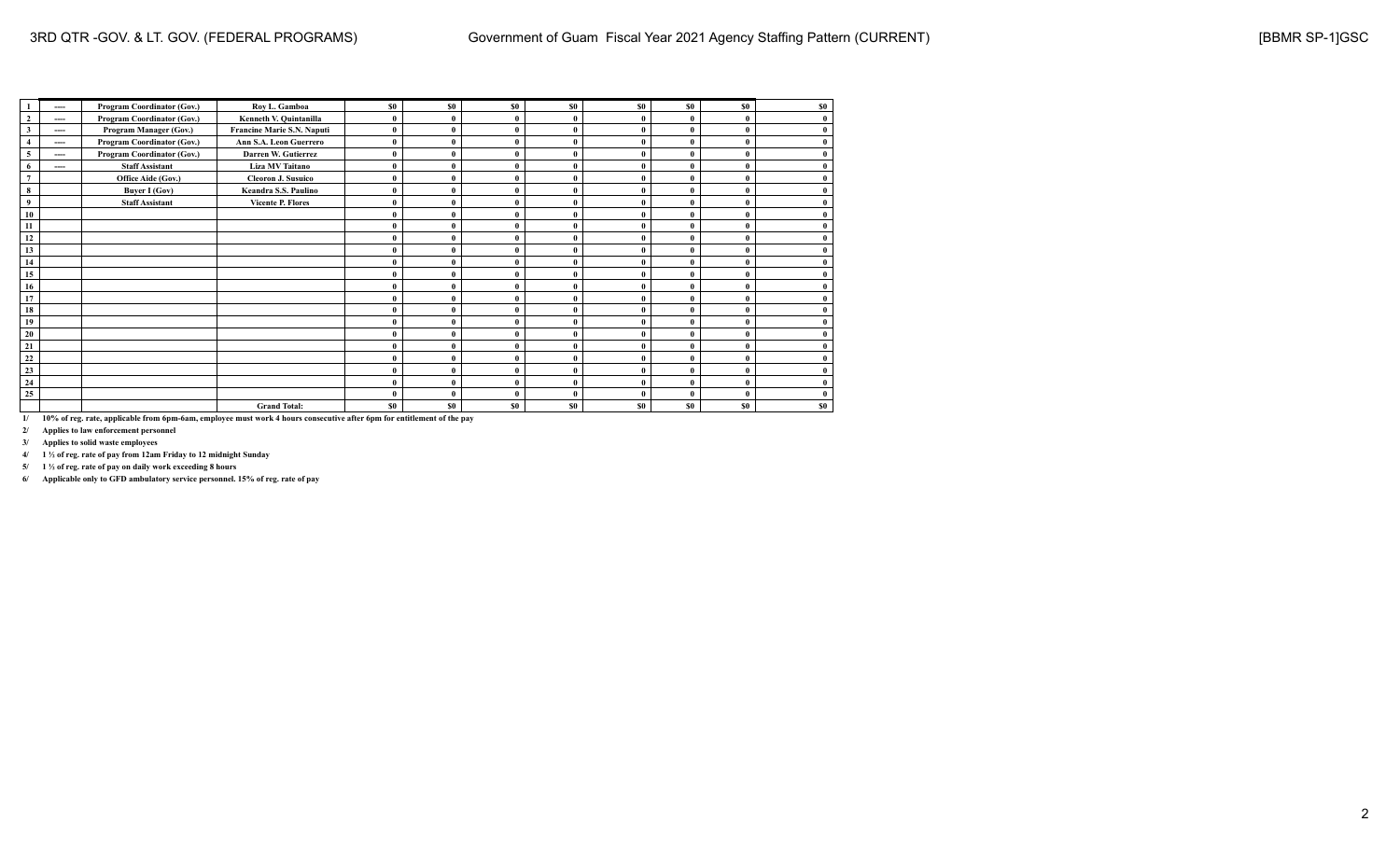|                         | ---- | Program Coordinator (Gov.) | Roy L. Gamboa              | \$0          | \$0            | \$0          | <b>SO</b>    | <b>SO</b> | \$0       | SO.          | \$0 |
|-------------------------|------|----------------------------|----------------------------|--------------|----------------|--------------|--------------|-----------|-----------|--------------|-----|
| $\mathbf{2}$            | ---- | Program Coordinator (Gov.) | Kenneth V. Quintanilla     | $\mathbf{0}$ |                | $\theta$     | $\theta$     |           |           | $\mathbf{0}$ |     |
| $\overline{\mathbf{3}}$ | ---- | Program Manager (Gov.)     | Francine Marie S.N. Naputi | $\mathbf{0}$ |                | $\mathbf{0}$ |              |           |           | $\mathbf{0}$ |     |
|                         | ---- | Program Coordinator (Gov.) | Ann S.A. Leon Guerrero     | $\bf{0}$     | O              | $\mathbf{0}$ | $\mathbf{0}$ |           |           | 0            |     |
| 5                       | ---- | Program Coordinator (Gov.) | Darren W. Gutierrez        | $\bf{0}$     |                | $\mathbf{0}$ |              |           |           | $\Omega$     |     |
| -6                      | ---- | <b>Staff Assistant</b>     | Liza MV Taitano            | $\mathbf{0}$ | 0              | $\mathbf{0}$ |              |           |           | $\mathbf{0}$ |     |
| $\overline{7}$          |      | Office Aide (Gov.)         | <b>Cleoron J. Susuico</b>  | $\bf{0}$     | 0              | $\mathbf{0}$ |              |           |           | 0            |     |
| 8                       |      | <b>Buyer I (Gov)</b>       | Keandra S.S. Paulino       | $\bf{0}$     |                | $\mathbf{0}$ |              |           |           |              |     |
| $\overline{9}$          |      | <b>Staff Assistant</b>     | <b>Vicente P. Flores</b>   | $\bf{0}$     |                | $\mathbf{0}$ |              |           |           | $\mathbf{0}$ |     |
| 10                      |      |                            |                            | 0            |                | $\theta$     |              |           |           | $\Omega$     |     |
| 11                      |      |                            |                            | $\mathbf{0}$ |                | $\mathbf{0}$ |              |           |           | $\Omega$     |     |
| 12                      |      |                            |                            | 0            |                |              |              |           |           | 0            |     |
| 13                      |      |                            |                            | $\mathbf{0}$ |                | $\theta$     | $\theta$     |           |           | $\mathbf{0}$ |     |
| 14                      |      |                            |                            | $\mathbf{0}$ |                |              |              |           |           | 0            |     |
| 15                      |      |                            |                            | $\bf{0}$     |                |              |              |           |           | $\mathbf{0}$ |     |
| 16                      |      |                            |                            | $\bf{0}$     |                | $\mathbf{0}$ |              |           |           | $\mathbf{0}$ |     |
| 17                      |      |                            |                            | $\mathbf{0}$ |                | $\theta$     |              |           |           | $\mathbf{0}$ |     |
| 18                      |      |                            |                            | 0            |                | $\theta$     |              |           |           | $\theta$     |     |
| 19                      |      |                            |                            | $\mathbf{0}$ |                |              |              |           |           | $\Omega$     |     |
| 20                      |      |                            |                            | $\bf{0}$     |                | $\mathbf{0}$ | $\mathbf{0}$ |           |           | $\mathbf{0}$ |     |
| 21                      |      |                            |                            | $\bf{0}$     |                |              |              |           |           | O            |     |
| 22                      |      |                            |                            | $\mathbf{0}$ |                | $\mathbf{0}$ |              |           |           | $\mathbf{0}$ |     |
| 23                      |      |                            |                            | $\bf{0}$     |                | $\theta$     |              |           |           |              |     |
| 24                      |      |                            |                            | $\bf{0}$     |                | $\mathbf{0}$ |              |           |           | $\mathbf{0}$ |     |
| 25                      |      |                            |                            | $\mathbf{0}$ |                | $\theta$     |              |           |           | $\Omega$     |     |
|                         |      |                            | <b>Grand Total:</b>        | \$0          | S <sub>0</sub> | \$0          | <b>SO</b>    | <b>SO</b> | <b>SO</b> | \$0          | \$0 |

**2/ Applies to law enforcement personnel**

**3/ Applies to solid waste employees**

**4/ 1 ½ of reg. rate of pay from 12am Friday to 12 midnight Sunday**

**5/ 1 ½ of reg. rate of pay on daily work exceeding 8 hours**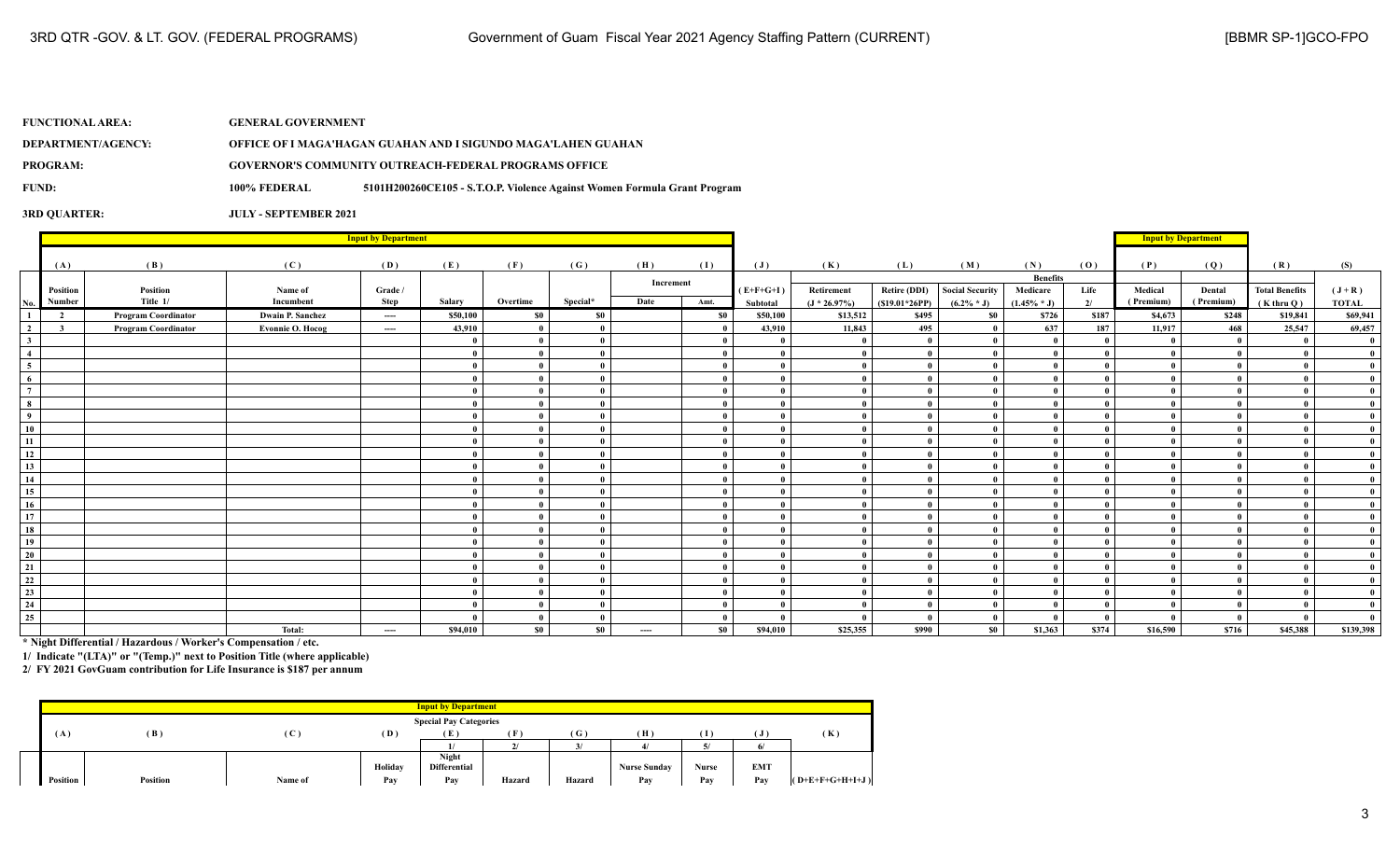| <b>FUNCTIONAL AREA:</b> | <b>GENERAL GOVERNMENT</b> |                                                                          |
|-------------------------|---------------------------|--------------------------------------------------------------------------|
| DEPARTMENT/AGENCY:      |                           | OFFICE OF I MAGA'HAGAN GUAHAN AND I SIGUNDO MAGA'LAHEN GUAHAN            |
| <b>PROGRAM:</b>         |                           | <b>GOVERNOR'S COMMUNITY OUTREACH-FEDERAL PROGRAMS OFFICE</b>             |
| FUND:                   | 100% FEDERAL              | 5101H200260CE105 - S.T.O.P. Violence Against Women Formula Grant Program |
|                         |                           |                                                                          |

**3RD QUARTER: JULY - SEPTEMBER 2021**

|                         |                         | <b>Input by Department</b> |                         |          |          |              |              |           |           |                |                 |                     |                        |                 |       | <b>Input by Department</b> |              |                       |              |
|-------------------------|-------------------------|----------------------------|-------------------------|----------|----------|--------------|--------------|-----------|-----------|----------------|-----------------|---------------------|------------------------|-----------------|-------|----------------------------|--------------|-----------------------|--------------|
|                         | (A)                     | (B)                        | (C)                     | (D)      | (E)      | (F)          | (G)          | (H)       | (I)       | $(\mathbf{J})$ | (K)             | (L)                 | (M)                    | (N)             | (0)   | (P)                        | (Q)          | (R)                   | (S)          |
|                         |                         |                            |                         |          |          |              |              |           |           |                |                 |                     |                        | <b>Benefits</b> |       |                            |              |                       |              |
|                         | Position                | Position                   | Name of                 | Grade /  |          |              |              | Increment |           | $(E+F+G+I)$    | Retirement      | <b>Retire (DDI)</b> | <b>Social Security</b> | Medicare        | Life  | Medical                    | Dental       | <b>Total Benefits</b> | $(J+R)$      |
| No.                     | Number                  | Title 1/                   | Incumbent               | Step     | Salary   | Overtime     | Special*     | Date      | Amt.      | Subtotal       | $(J * 26.97\%)$ | $(S19.01*26PP)$     | $(6.2\% * J)$          | $(1.45\% * J)$  | 2/    | (Premium)                  | (Premium)    | $(K$ thru $Q)$        | <b>TOTAL</b> |
| $\mathbf{1}$            | $\overline{2}$          | <b>Program Coordinator</b> | <b>Dwain P. Sanchez</b> | $\cdots$ | \$50,100 | \$0          | \$0          |           | \$0       | \$50,100       | \$13,512        | \$495               | \$0                    | \$726           | \$187 | \$4,673                    | \$248        | \$19,841              | \$69,941     |
| $\overline{2}$          | $\overline{\mathbf{3}}$ | <b>Program Coordinator</b> | Evonnie O. Hocog        | $---$    | 43,910   | $\bf{0}$     | $\mathbf{0}$ |           |           | 43,910         | 11,843          | 495                 |                        | 637             | 187   | 11,917                     | 468          | 25,547                | 69,457       |
| 3 <sup>1</sup>          |                         |                            |                         |          |          | $\mathbf{0}$ | $\mathbf{0}$ |           |           |                | $\mathbf{0}$    |                     |                        | $\theta$        |       |                            | $\mathbf{0}$ |                       |              |
| $\overline{4}$          |                         |                            |                         |          |          | $\mathbf{0}$ | $\mathbf{0}$ |           |           |                | $\theta$        | $\mathbf{0}$        |                        | $\theta$        |       |                            |              |                       |              |
| $\frac{1}{5}$           |                         |                            |                         |          |          | $\mathbf{0}$ | $\mathbf{0}$ |           |           |                | $\theta$        | $\mathbf{0}$        |                        | $\theta$        |       |                            |              |                       |              |
| $\overline{6}$          |                         |                            |                         |          |          | $\mathbf{0}$ | $\mathbf{0}$ |           |           | - 0            | $\theta$        |                     |                        | $\theta$        |       |                            |              |                       |              |
| $\overline{7}$          |                         |                            |                         |          |          | - 0          | $\mathbf{0}$ |           |           |                |                 |                     |                        |                 |       |                            |              |                       |              |
| $\overline{\mathbf{8}}$ |                         |                            |                         |          |          | $\theta$     | $\mathbf{0}$ |           |           |                |                 |                     |                        |                 |       |                            |              |                       |              |
| $\overline{9}$          |                         |                            |                         |          |          | $\mathbf{0}$ | $\mathbf{0}$ |           |           |                | $\theta$        |                     |                        | $\theta$        |       |                            |              |                       |              |
| ${\bf 10}$              |                         |                            |                         |          |          | $\mathbf{0}$ | $\mathbf{0}$ |           |           |                |                 |                     |                        | $\theta$        |       |                            |              |                       |              |
| $\overline{11}$         |                         |                            |                         |          |          | $\bf{0}$     | $\mathbf{0}$ |           |           |                |                 |                     |                        |                 |       |                            |              |                       |              |
| $\frac{1}{12}$          |                         |                            |                         |          |          | $\theta$     | $\mathbf{0}$ |           |           |                |                 |                     |                        |                 |       |                            |              |                       |              |
| $\overline{13}$         |                         |                            |                         |          |          | $\mathbf{0}$ | $\mathbf{0}$ |           |           |                |                 |                     |                        |                 |       |                            |              |                       |              |
| 14                      |                         |                            |                         |          |          | $\mathbf{0}$ | $\mathbf{0}$ |           |           |                | $\mathbf{0}$    |                     |                        | $\theta$        |       |                            |              |                       |              |
| $\overline{15}$         |                         |                            |                         |          |          | - 0          | $\mathbf{0}$ |           |           |                | $\theta$        |                     |                        | -0              |       |                            |              |                       |              |
| 16                      |                         |                            |                         |          |          | $\mathbf{0}$ | $\mathbf{a}$ |           |           |                |                 |                     |                        | $\theta$        |       |                            |              |                       |              |
| $\overline{17}$         |                         |                            |                         |          |          | $\mathbf{0}$ | $\bf{0}$     |           |           |                | $\theta$        |                     |                        | $\mathbf{a}$    |       |                            |              |                       |              |
| $\overline{18}$         |                         |                            |                         |          |          | $\mathbf{0}$ | $\mathbf{0}$ |           |           |                |                 |                     |                        |                 |       |                            |              |                       |              |
| 19                      |                         |                            |                         |          |          | $\mathbf{0}$ | $\mathbf{0}$ |           |           |                |                 |                     |                        | $\theta$        |       |                            |              |                       |              |
| 20                      |                         |                            |                         |          |          | $\bf{0}$     | $\mathbf{0}$ |           |           |                | $\mathbf{0}$    |                     |                        |                 |       |                            |              |                       |              |
| $\overline{21}$         |                         |                            |                         |          |          | $\mathbf{0}$ | $\mathbf{0}$ |           |           |                | $\theta$        | $\mathbf{0}$        |                        | $\mathbf{a}$    |       |                            |              |                       |              |
| $\frac{22}{2}$          |                         |                            |                         |          | $\theta$ | $\mathbf{0}$ | $\mathbf{0}$ |           |           |                | $\theta$        |                     |                        | $\mathbf{a}$    |       |                            |              |                       |              |
| $\frac{23}{24}$         |                         |                            |                         |          |          | $\mathbf{0}$ | $\bf{0}$     |           |           |                | $\theta$        |                     |                        | $\theta$        |       |                            |              |                       |              |
|                         |                         |                            |                         |          |          | $\mathbf{0}$ | $\mathbf{0}$ |           |           |                | $\theta$        |                     |                        | $\theta$        |       |                            |              |                       |              |
| $\overline{25}$         |                         |                            |                         |          |          | $\mathbf{0}$ | $\bf{0}$     |           |           |                |                 |                     |                        | $\Omega$        |       |                            |              |                       |              |
|                         |                         |                            | Total:                  | $\cdots$ | \$94,010 | \$0          | \$0          | $\cdots$  | <b>SO</b> | \$94,010       | \$25,355        | \$990               | \$0                    | \$1,363         | \$374 | \$16,590                   | \$716        | \$45,388              | \$139,398    |

**\* Night Differential / Hazardous / Worker's Compensation / etc.**

**1/ Indicate "(LTA)" or "(Temp.)" next to Position Title (where applicable)**

|                 |                 |         |         | <b>Input by Department</b>    |        |              |                     |       |            |                   |
|-----------------|-----------------|---------|---------|-------------------------------|--------|--------------|---------------------|-------|------------|-------------------|
|                 |                 |         |         | <b>Special Pay Categories</b> |        |              |                     |       |            |                   |
| (A)             | (B)             | (C      | (D)     |                               | Œ.     | (G)          | (H)                 | Т     |            | (K)               |
|                 |                 |         |         |                               |        | $\mathbf{z}$ |                     |       | 6          |                   |
|                 |                 |         |         | Night                         |        |              |                     |       |            |                   |
|                 |                 |         | Holiday | <b>Differential</b>           |        |              | <b>Nurse Sunday</b> | Nurse | <b>EMT</b> |                   |
| <b>Position</b> | <b>Position</b> | Name of | Pay     | Pay                           | Hazard | Hazard       | Pay                 | Pay   | Pay        | $(O+E+F+G+H+I+J)$ |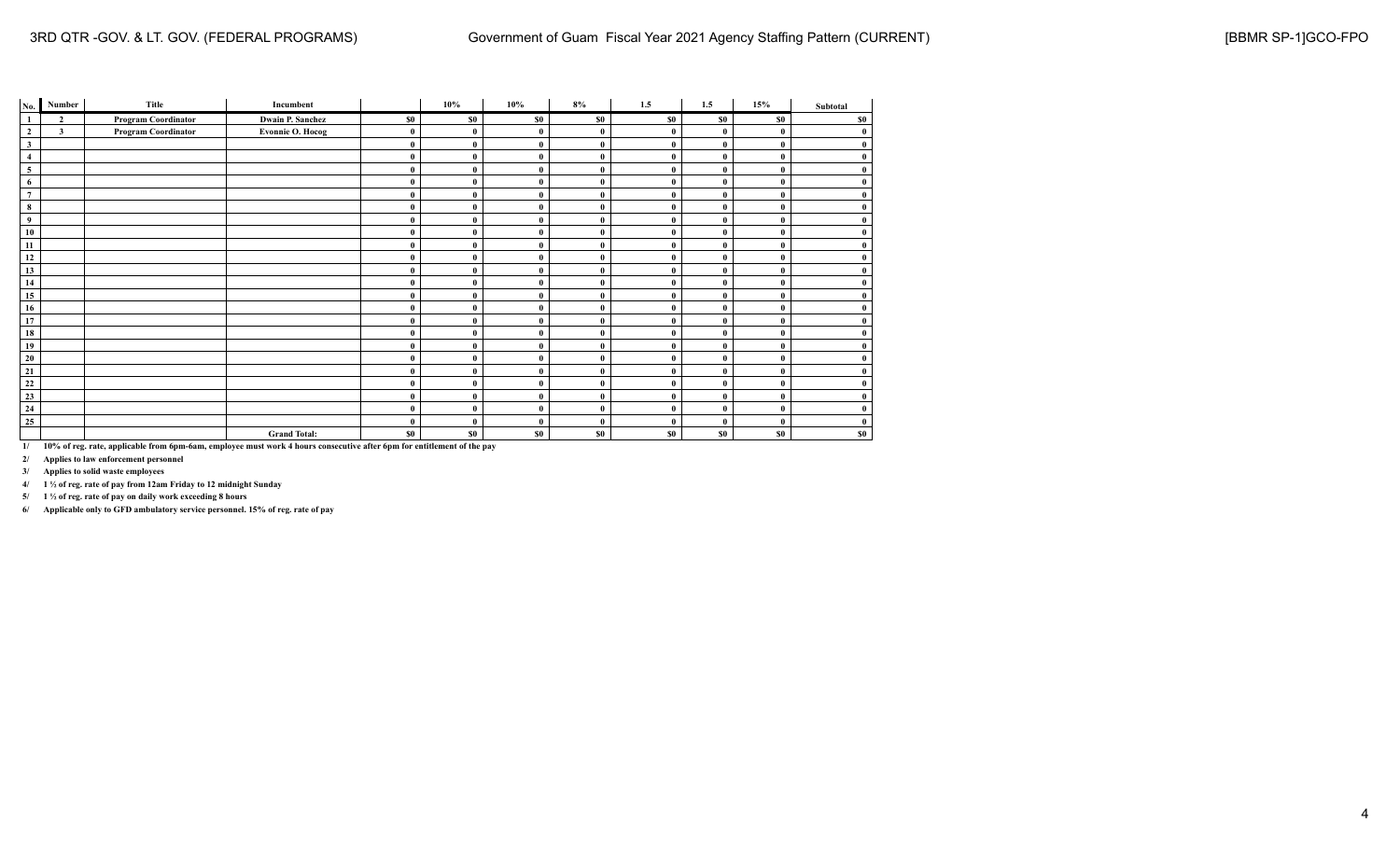| No.            | Number         | Title                      | Incumbent               |              | 10%          | 10%          | 8%           | 1.5          | 1.5      | 15% | Subtotal     |
|----------------|----------------|----------------------------|-------------------------|--------------|--------------|--------------|--------------|--------------|----------|-----|--------------|
| $\mathbf{1}$   | $\overline{2}$ | <b>Program Coordinator</b> | <b>Dwain P. Sanchez</b> | \$0          | \$0          | \$0          | \$0          | \$0          | \$0      | \$0 | \$0          |
| $\mathbf{2}$   | $\mathbf{3}$   | Program Coordinator        | <b>Evonnie O. Hocog</b> | $\bf{0}$     | $\mathbf{0}$ | $\theta$     | $\mathbf{0}$ | $\mathbf{0}$ | $\theta$ |     | $\bf{0}$     |
| $\mathbf{3}$   |                |                            |                         | $\bf{0}$     | 0            | $\mathbf{0}$ | $\bf{0}$     | $\theta$     | $\theta$ |     | $\bf{0}$     |
| $\overline{4}$ |                |                            |                         | $\bf{0}$     | $\mathbf{0}$ | $\mathbf{0}$ | $\bf{0}$     | $\theta$     | $\theta$ |     | $\bf{0}$     |
| 5              |                |                            |                         | $\bf{0}$     | $\bf{0}$     | $\mathbf{0}$ | $\bf{0}$     | $\bf{0}$     | $\theta$ |     | $\bf{0}$     |
| 6              |                |                            |                         | $\bf{0}$     | $\bf{0}$     | $\mathbf{0}$ | $\bf{0}$     | $\bf{0}$     | $\bf{0}$ |     | $\bf{0}$     |
| $\overline{7}$ |                |                            |                         | $\mathbf{0}$ | $\theta$     | $\mathbf{0}$ | $\theta$     | $\theta$     | $\theta$ |     | $\mathbf{0}$ |
| 8              |                |                            |                         | $\bf{0}$     | 0            | $\mathbf{0}$ | $\bf{0}$     | $\bf{0}$     | $\theta$ |     | $\bf{0}$     |
| 9              |                |                            |                         | $\bf{0}$     | 0            | $\bf{0}$     | $\mathbf{0}$ | $\theta$     | $\theta$ |     | $\bf{0}$     |
| 10             |                |                            |                         | $\bf{0}$     | $\theta$     | $\mathbf{0}$ | $\bf{0}$     | $\bf{0}$     | $\theta$ |     | $\bf{0}$     |
| 11             |                |                            |                         | $\bf{0}$     | $\bf{0}$     | $\mathbf{0}$ | $\bf{0}$     | $\theta$     | $\theta$ |     | $\bf{0}$     |
| 12             |                |                            |                         | $\mathbf{0}$ | 0            | $\mathbf{0}$ | $\theta$     | $\theta$     | $\theta$ |     | $\mathbf{0}$ |
| 13             |                |                            |                         | $\mathbf{0}$ | $\bf{0}$     | $\mathbf{0}$ | $\bf{0}$     | $\theta$     | $\theta$ |     | $\bf{0}$     |
| 14             |                |                            |                         | $\bf{0}$     | $\bf{0}$     | $\bf{0}$     | $\bf{0}$     | $\bf{0}$     | $\bf{0}$ |     | $\bf{0}$     |
| 15             |                |                            |                         | $\bf{0}$     | $\bf{0}$     | $\mathbf{0}$ | $\bf{0}$     | $\bf{0}$     | $\bf{0}$ |     | $\bf{0}$     |
| 16             |                |                            |                         | $\bf{0}$     | 0            | $\theta$     | $\bf{0}$     | $\bf{0}$     | $\theta$ |     | $\bf{0}$     |
| 17             |                |                            |                         | $\bf{0}$     | 0            | $\mathbf{0}$ | $\theta$     | $\theta$     | $\theta$ |     | $\bf{0}$     |
| 18             |                |                            |                         | $\bf{0}$     |              | $\mathbf{0}$ | $\mathbf{0}$ | $\theta$     | $\theta$ |     | $\bf{0}$     |
| 19             |                |                            |                         | $\bf{0}$     | $\bf{0}$     | $\bf{0}$     | $\bf{0}$     | $\bf{0}$     | $\bf{0}$ |     | $\bf{0}$     |
| 20             |                |                            |                         | $\bf{0}$     | $\bf{0}$     | $\bf{0}$     | $\mathbf{0}$ | $\bf{0}$     | $\bf{0}$ |     | $\bf{0}$     |
| 21             |                |                            |                         | $\bf{0}$     | $\theta$     | 0            | $\bf{0}$     | $\bf{0}$     | $\theta$ |     | $\mathbf{0}$ |
| $\bf{22}$      |                |                            |                         | $\bf{0}$     | 0            | 0            | $\bf{0}$     | $\bf{0}$     | $\theta$ |     | $\bf{0}$     |
| 23             |                |                            |                         | $\bf{0}$     | $\bf{0}$     | 0            | $\mathbf{0}$ | $\theta$     | $\theta$ |     | $\bf{0}$     |
| 24             |                |                            |                         | $\bf{0}$     | 0            | $\bf{0}$     | $\mathbf{0}$ | $\bf{0}$     | $\bf{0}$ |     | $\bf{0}$     |
| 25             |                |                            |                         | $\bf{0}$     | $\theta$     | $\theta$     | $\mathbf{0}$ | $\bf{0}$     | $\theta$ |     | $\bf{0}$     |
|                |                |                            | <b>Grand Total:</b>     | \$0          | \$0          | \$0          | \$0          | \$0          | \$0      | \$0 | \$0          |

**2/ Applies to law enforcement personnel**

**3/ Applies to solid waste employees**

**4/ 1 ½ of reg. rate of pay from 12am Friday to 12 midnight Sunday**

**5/ 1 ½ of reg. rate of pay on daily work exceeding 8 hours**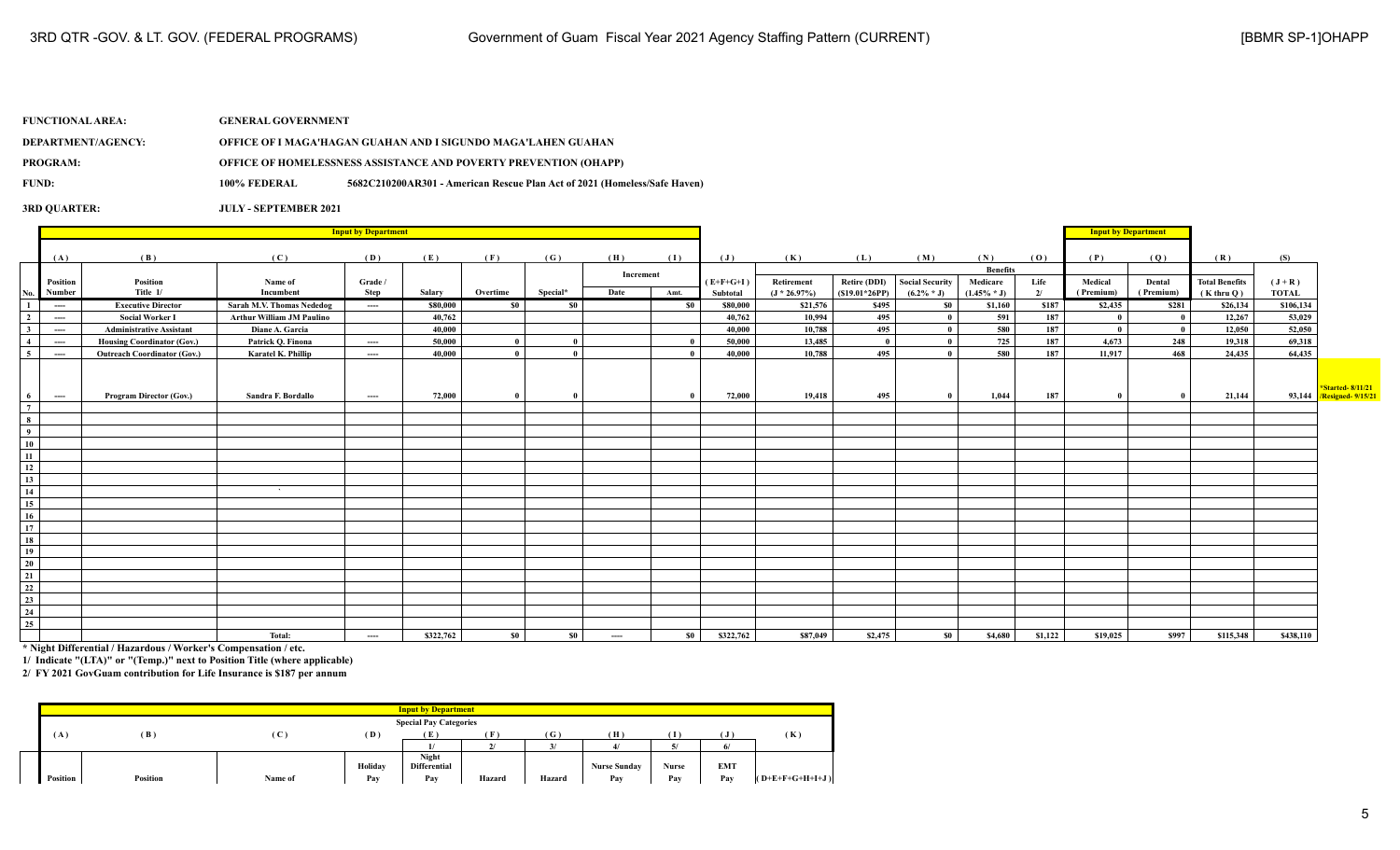| <b>FUNCTIONAL AREA:</b>   | <b>GENERAL GOVERNMENT</b>    |                                                                           |
|---------------------------|------------------------------|---------------------------------------------------------------------------|
| <b>DEPARTMENT/AGENCY:</b> |                              | OFFICE OF I MAGA'HAGAN GUAHAN AND I SIGUNDO MAGA'LAHEN GUAHAN             |
| <b>PROGRAM:</b>           |                              | <b>OFFICE OF HOMELESSNESS ASSISTANCE AND POVERTY PREVENTION (OHAPP)</b>   |
| <b>FUND:</b>              | 100% FEDERAL                 | 5682C210200AR301 - American Rescue Plan Act of 2021 (Homeless/Safe Haven) |
| <b>3RD OUARTER:</b>       | <b>JULY - SEPTEMBER 2021</b> |                                                                           |

|                 |          |                                    |                                  | <b>Input by Department</b> |           |                            |          |             |           |                |                |                     |                        |                 |         | <b>Input by Department</b> |           |                       |              |                                                     |
|-----------------|----------|------------------------------------|----------------------------------|----------------------------|-----------|----------------------------|----------|-------------|-----------|----------------|----------------|---------------------|------------------------|-----------------|---------|----------------------------|-----------|-----------------------|--------------|-----------------------------------------------------|
|                 | (A)      | (B)                                | (C)                              | (D)                        | (E)       | (F)                        | (G)      | (H)         | (I)       | $(\mathbf{J})$ | (K)            | (L)                 | (M)                    | (N)             | (0)     | (P)                        | (Q)       | (R)                   | (S)          |                                                     |
|                 |          |                                    |                                  |                            |           |                            |          | Increment   |           |                |                |                     |                        | <b>Benefits</b> |         |                            |           |                       |              |                                                     |
|                 | Position | Position                           | Name of                          | Grade /                    |           |                            |          |             |           | $(E+F+G+I)$    | Retirement     | <b>Retire (DDI)</b> | <b>Social Security</b> | Medicare        | Life    | Medical                    | Dental    | <b>Total Benefits</b> | $(J+R)$      |                                                     |
| No.             | Number   | Title 1/                           | Incumbent                        | Step                       | Salary    | Overtime                   | Special* | Date        | Amt.      | Subtotal       | $(J * 26.97%)$ | $(S19.01*26PP)$     | $(6.2\% * J)$          | $(1.45\% * J)$  | 2/      | (Premium)                  | (Premium) | $(K$ thru $Q)$        | <b>TOTAL</b> |                                                     |
|                 | ----     | <b>Executive Director</b>          | Sarah M.V. Thomas Nededog        | ----                       | \$80,000  | $\boldsymbol{\mathsf{S0}}$ | \$0      |             | <b>SO</b> | \$80,000       | \$21,576       | \$495               | S <sub>0</sub>         | \$1,160         | \$187   | \$2,435                    | \$281     | \$26,134              | \$106,134    |                                                     |
| $\overline{2}$  | ----     | <b>Social Worker I</b>             | <b>Arthur William JM Paulino</b> |                            | 40,762    |                            |          |             |           | 40,762         | 10,994         | 495                 | $\bf{0}$               | 591             | 187     | $\mathbf{0}$               | - 0       | 12,267                | 53,029       |                                                     |
| 3               | ----     | <b>Administrative Assistant</b>    | Diane A. Garcia                  |                            | 40,000    |                            |          |             |           | 40,000         | 10,788         | 495                 | $\mathbf{0}$           | 580             | 187     | $\mathbf{0}$               | - 0       | 12,050                | 52,050       |                                                     |
| $\overline{4}$  | ----     | <b>Housing Coordinator (Gov.)</b>  | Patrick O. Finona                | ----                       | 50,000    | $\theta$                   | $\theta$ |             |           | 50,000         | 13,485         | - 0                 | $\mathbf{0}$           | 725             | 187     | 4,673                      | 248       | 19,318                | 69,318       |                                                     |
| 5               | ----     | <b>Outreach Coordinator (Gov.)</b> | Karatel K. Phillip               | ----                       | 40,000    |                            | $\theta$ |             |           | 40,000         | 10,788         | 495                 | $\theta$               | 580             | 187     | 11,917                     | 468       | 24,435                | 64,435       |                                                     |
| 6               | ----     | <b>Program Director (Gov.)</b>     | Sandra F. Bordallo               | ----                       | 72,000    | - 0                        | - 0      |             |           | 72,000         | 19,418         | 495                 | $\bf{0}$               | 1,044           | 187     | - 0                        |           | 21,144                |              | *Started-8/11/21<br>93,144 <b>Resigned-</b> 9/15/21 |
| $7\overline{ }$ |          |                                    |                                  |                            |           |                            |          |             |           |                |                |                     |                        |                 |         |                            |           |                       |              |                                                     |
| 8               |          |                                    |                                  |                            |           |                            |          |             |           |                |                |                     |                        |                 |         |                            |           |                       |              |                                                     |
| $\overline{9}$  |          |                                    |                                  |                            |           |                            |          |             |           |                |                |                     |                        |                 |         |                            |           |                       |              |                                                     |
| 10              |          |                                    |                                  |                            |           |                            |          |             |           |                |                |                     |                        |                 |         |                            |           |                       |              |                                                     |
| 11              |          |                                    |                                  |                            |           |                            |          |             |           |                |                |                     |                        |                 |         |                            |           |                       |              |                                                     |
| 12              |          |                                    |                                  |                            |           |                            |          |             |           |                |                |                     |                        |                 |         |                            |           |                       |              |                                                     |
| 13              |          |                                    |                                  |                            |           |                            |          |             |           |                |                |                     |                        |                 |         |                            |           |                       |              |                                                     |
| $\overline{14}$ |          |                                    | $\Delta$                         |                            |           |                            |          |             |           |                |                |                     |                        |                 |         |                            |           |                       |              |                                                     |
| 15              |          |                                    |                                  |                            |           |                            |          |             |           |                |                |                     |                        |                 |         |                            |           |                       |              |                                                     |
| 16              |          |                                    |                                  |                            |           |                            |          |             |           |                |                |                     |                        |                 |         |                            |           |                       |              |                                                     |
| 17              |          |                                    |                                  |                            |           |                            |          |             |           |                |                |                     |                        |                 |         |                            |           |                       |              |                                                     |
| 18              |          |                                    |                                  |                            |           |                            |          |             |           |                |                |                     |                        |                 |         |                            |           |                       |              |                                                     |
| 19              |          |                                    |                                  |                            |           |                            |          |             |           |                |                |                     |                        |                 |         |                            |           |                       |              |                                                     |
| 20              |          |                                    |                                  |                            |           |                            |          |             |           |                |                |                     |                        |                 |         |                            |           |                       |              |                                                     |
| 21              |          |                                    |                                  |                            |           |                            |          |             |           |                |                |                     |                        |                 |         |                            |           |                       |              |                                                     |
| $\frac{1}{22}$  |          |                                    |                                  |                            |           |                            |          |             |           |                |                |                     |                        |                 |         |                            |           |                       |              |                                                     |
| 23              |          |                                    |                                  |                            |           |                            |          |             |           |                |                |                     |                        |                 |         |                            |           |                       |              |                                                     |
| $\overline{24}$ |          |                                    |                                  |                            |           |                            |          |             |           |                |                |                     |                        |                 |         |                            |           |                       |              |                                                     |
| 25              |          |                                    |                                  |                            |           |                            |          |             |           |                |                |                     |                        |                 |         |                            |           |                       |              |                                                     |
|                 |          |                                    | Total:                           | ----                       | \$322,762 | $\$0$                      | \$0      | $-\!-\!-\!$ | - SO 1    | \$322,762      | \$87,049       | \$2,475             | <b>SO</b>              | \$4,680         | \$1,122 | \$19,025                   | \$997     | \$115,348             | \$438,110    |                                                     |

**\* Night Differential / Hazardous / Worker's Compensation / etc.**

**1/ Indicate "(LTA)" or "(Temp.)" next to Position Title (where applicable)**

|              |          |             |         | <b>Input by Department</b>    |              |              |                     |            |            |                   |
|--------------|----------|-------------|---------|-------------------------------|--------------|--------------|---------------------|------------|------------|-------------------|
|              |          |             |         | <b>Special Pay Categories</b> |              |              |                     |            |            |                   |
| $\mathbf{A}$ | (B)      | $\mathbf C$ | (D)     | <b>TA</b>                     | $\mathbf{r}$ | $\mathbf{G}$ | ſΗ                  |            | $\cdot$    | (K)               |
|              |          |             |         |                               |              |              |                     | $\epsilon$ |            |                   |
|              |          |             | Holiday | Night<br><b>Differential</b>  |              |              | <b>Nurse Sunday</b> | Nurse      | <b>EMT</b> |                   |
| Position     | Position | Name of     | Pay     | Pay                           | Hazard       | Hazard       | Pav                 | Pay        | Pay        | $(O+E+F+G+H+I+J)$ |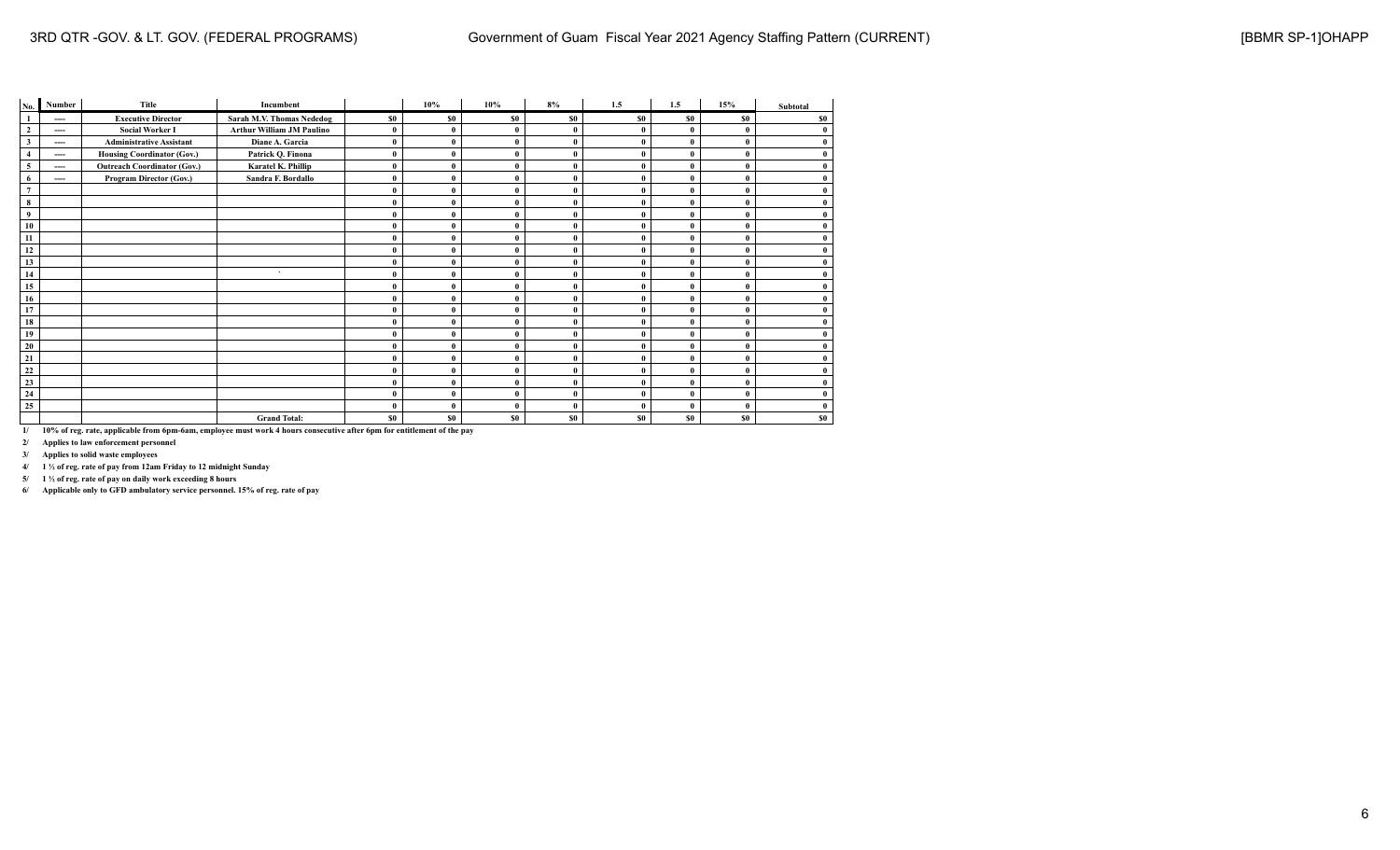| No.              | Number | Title                              | Incumbent                        |          | 10%          | 10%            | 8%             | 1.5          | 1.5       | 15%          | Subtotal |
|------------------|--------|------------------------------------|----------------------------------|----------|--------------|----------------|----------------|--------------|-----------|--------------|----------|
| $\mathbf{1}$     | ----   | <b>Executive Director</b>          | Sarah M.V. Thomas Nededog        | \$0      | \$0          | S <sub>0</sub> | S <sub>0</sub> | <b>SO</b>    | <b>SO</b> | <b>SO</b>    | \$0      |
| $\overline{2}$   | ----   | <b>Social Worker I</b>             | <b>Arthur William JM Paulino</b> | $\bf{0}$ | $\mathbf{0}$ |                | $\mathbf{0}$   | 0            | 0         | $\mathbf{0}$ | $\bf{0}$ |
| $\mathbf{3}$     | ----   | <b>Administrative Assistant</b>    | Diane A. Garcia                  | $\bf{0}$ | $\mathbf{0}$ | $\mathbf{0}$   | $\mathbf{0}$   | $\bf{0}$     | 0         |              | $\bf{0}$ |
| $\overline{4}$   | ----   | <b>Housing Coordinator (Gov.)</b>  | Patrick Q. Finona                | $\bf{0}$ | $\theta$     |                | $\mathbf{0}$   | $\theta$     | 0         | $\theta$     | $\bf{0}$ |
| 5                | ----   | <b>Outreach Coordinator (Gov.)</b> | Karatel K. Phillip               | $\bf{0}$ | $\mathbf{0}$ |                | $\bf{0}$       | 0            | $\theta$  | $\mathbf{0}$ | $\bf{0}$ |
| 6                | ----   | Program Director (Gov.)            | Sandra F. Bordallo               | $\bf{0}$ |              |                | $\mathbf{0}$   | 0            | 0         |              | $\bf{0}$ |
| $\boldsymbol{7}$ |        |                                    |                                  | $\bf{0}$ |              |                | $\mathbf{0}$   | $\theta$     | 0         | $\mathbf{0}$ | $\bf{0}$ |
| 8                |        |                                    |                                  | $\bf{0}$ | $\theta$     | O              | $\mathbf{0}$   | $\mathbf{0}$ | 0         | $\mathbf{0}$ | $\bf{0}$ |
| 9                |        |                                    |                                  | $\bf{0}$ | $\mathbf{0}$ |                | $\mathbf{0}$   | 0            | 0         | $\mathbf{0}$ | $\bf{0}$ |
| 10               |        |                                    |                                  | $\bf{0}$ |              |                | $\mathbf{0}$   |              | 0         | $\mathbf{0}$ | $\bf{0}$ |
| 11               |        |                                    |                                  | $\bf{0}$ |              |                | $\mathbf{0}$   | 0            | 0         | $\mathbf{0}$ | $\bf{0}$ |
| 12               |        |                                    |                                  | $\bf{0}$ | $\Omega$     | $\Omega$       | $\theta$       | $\theta$     | 0         | $\theta$     | $\bf{0}$ |
| 13               |        |                                    |                                  | $\bf{0}$ |              |                | $\mathbf{0}$   |              | 0         | $\mathbf{0}$ | $\bf{0}$ |
| 14               |        |                                    | $\lambda$                        | $\bf{0}$ |              |                | $\mathbf{0}$   | 0            | 0         | $\theta$     | $\bf{0}$ |
| 15               |        |                                    |                                  | $\bf{0}$ |              |                | $\mathbf{0}$   | $\mathbf{0}$ | 0         | $\theta$     | $\bf{0}$ |
| 16               |        |                                    |                                  | $\bf{0}$ | $\theta$     |                | $\mathbf{0}$   | 0            | 0         | $\mathbf{0}$ | $\bf{0}$ |
| 17               |        |                                    |                                  | $\bf{0}$ | $\mathbf{0}$ | $\mathbf{0}$   | $\mathbf{0}$   | $\theta$     | 0         |              | $\bf{0}$ |
| 18               |        |                                    |                                  | $\bf{0}$ |              |                | $\mathbf{0}$   | $\theta$     | $\theta$  |              | $\bf{0}$ |
| 19               |        |                                    |                                  | $\bf{0}$ | 0            |                | $\mathbf{0}$   | $\theta$     | $\theta$  | $\Omega$     | $\bf{0}$ |
| 20               |        |                                    |                                  | $\bf{0}$ |              |                | $\mathbf{0}$   | 0            | 0         | $\mathbf{0}$ | $\bf{0}$ |
| 21               |        |                                    |                                  | $\bf{0}$ | $\mathbf{0}$ |                | $\mathbf{0}$   | 0            | 0         | $\theta$     | $\bf{0}$ |
| 22               |        |                                    |                                  | $\bf{0}$ |              | $\mathbf{0}$   | $\mathbf{0}$   | 0            | 0         | $\theta$     | $\bf{0}$ |
| 23               |        |                                    |                                  | $\bf{0}$ |              |                | $\mathbf{0}$   | 0            | 0         | $\theta$     | $\bf{0}$ |
| 24               |        |                                    |                                  | $\bf{0}$ | $\theta$     | $\sqrt{ }$     | $\mathbf{0}$   | 0            | 0         | $\mathbf{0}$ | $\bf{0}$ |
| 25               |        |                                    |                                  | $\bf{0}$ |              |                | $\mathbf{0}$   | $\theta$     | 0         | $\mathbf{0}$ | $\bf{0}$ |
|                  |        |                                    | <b>Grand Total:</b>              | \$0      | \$0          | S <sub>0</sub> | \$0            | \$0          | \$0       | <b>SO</b>    | \$0      |

**2/ Applies to law enforcement personnel**

**3/ Applies to solid waste employees**

**4/ 1 ½ of reg. rate of pay from 12am Friday to 12 midnight Sunday**

**5/ 1 ½ of reg. rate of pay on daily work exceeding 8 hours**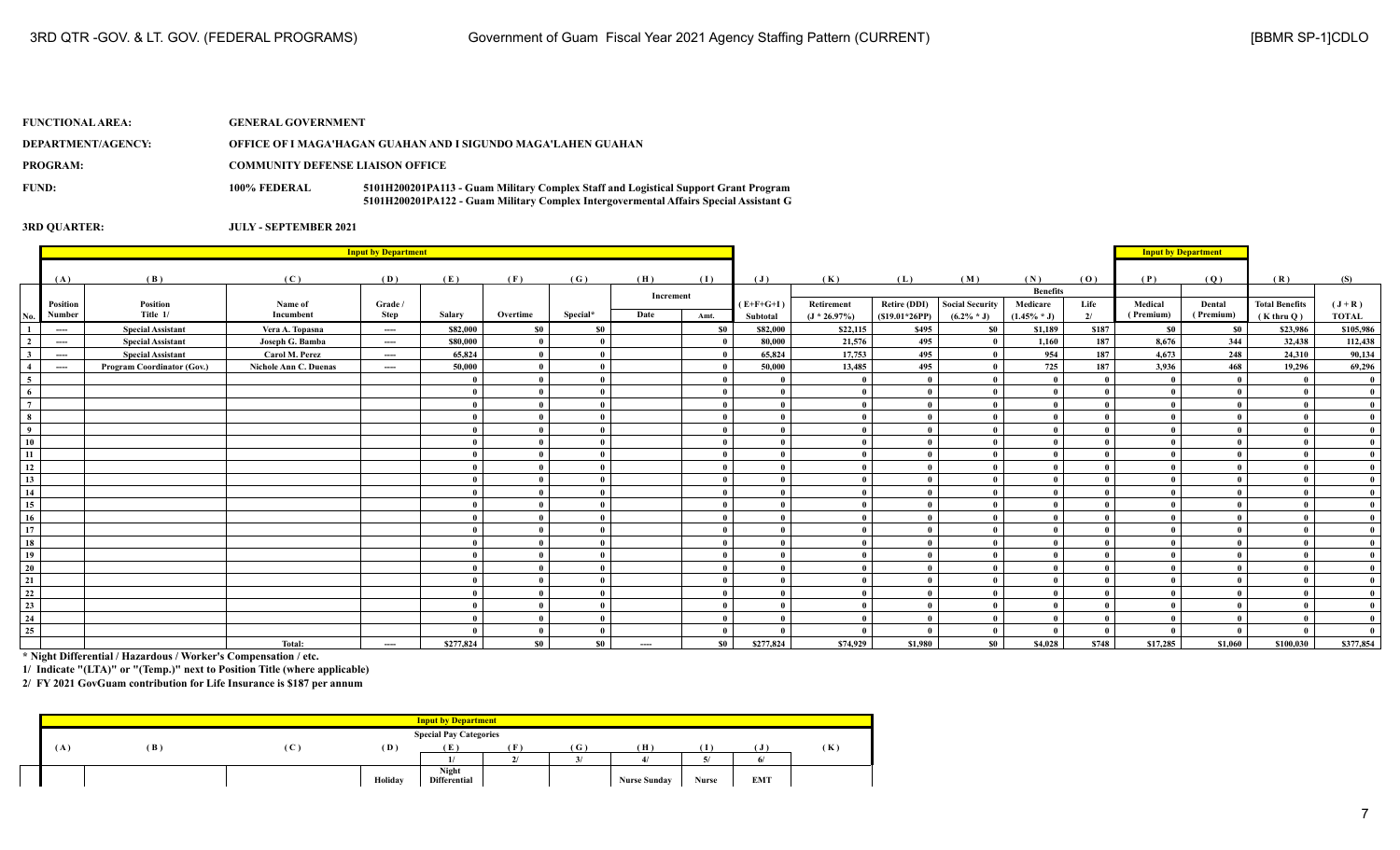| <b>FUNCTIONAL AREA:</b> | <b>GENERAL GOVERNMENT</b>               |                                                                                                                                                                              |
|-------------------------|-----------------------------------------|------------------------------------------------------------------------------------------------------------------------------------------------------------------------------|
| DEPARTMENT/AGENCY:      |                                         | OFFICE OF I MAGA'HAGAN GUAHAN AND I SIGUNDO MAGA'LAHEN GUAHAN                                                                                                                |
| <b>PROGRAM:</b>         | <b>COMMUNITY DEFENSE LIAISON OFFICE</b> |                                                                                                                                                                              |
| FUND:                   | 100% FEDERAL                            | 5101H200201PA113 - Guam Military Complex Staff and Logistical Support Grant Program<br>5101H200201PA122 - Guam Military Complex Intergovermental Affairs Special Assistant G |

## **3RD QUARTER: JULY - SEPTEMBER 2021**

|                         | <b>Input by Department</b> |                                   |                       |          |           |              |               |           |      |                |                |                     |                 |                 |       |                            |              |                       |              |
|-------------------------|----------------------------|-----------------------------------|-----------------------|----------|-----------|--------------|---------------|-----------|------|----------------|----------------|---------------------|-----------------|-----------------|-------|----------------------------|--------------|-----------------------|--------------|
|                         |                            |                                   |                       |          |           |              |               |           |      |                |                |                     |                 |                 |       | <b>Input by Department</b> |              |                       |              |
|                         | (A)                        | (B)                               | (C)                   | (D)      | (E)       | (F)          | (G)           | (H)       | (I)  | $(\mathbf{J})$ | (K)            | (L)                 | (M)             | (N)             | (0)   | (P)                        | (Q)          | (R)                   | (S)          |
|                         |                            |                                   |                       |          |           |              |               | Increment |      |                |                |                     |                 | <b>Benefits</b> |       |                            |              |                       |              |
|                         | Position                   | Position                          | Name of               | Grade /  |           |              |               |           |      | $(E+F+G+I)$    | Retirement     | <b>Retire (DDI)</b> | Social Security | Medicare        | Life  | Medical                    | Dental       | <b>Total Benefits</b> | $(J+R)$      |
| No.                     | Number                     | Title 1/                          | Incumbent             | Step     | Salary    | Overtime     | Special*      | Date      | Amt. | Subtotal       | $(J * 26.97%)$ | $(S19.01*26PP)$     | $(6.2\% * J)$   | $(1.45\% * J)$  | 21    | (Premium)                  | (Premium)    | $(K$ thru $O)$        | <b>TOTAL</b> |
| $\mathbf{1}$            | $---$                      | <b>Special Assistant</b>          | Vera A. Topasna       | $---$    | \$82,000  | \$0          | $\$0$         |           | \$0  | \$82,000       | \$22,115       | \$495               | \$0             | \$1,189         | \$187 | - \$0                      | \$0          | \$23,986              | \$105,986    |
| $\overline{2}$          | ----                       | <b>Special Assistant</b>          | Joseph G. Bamba       | $---$    | \$80,000  | $\mathbf{0}$ | $\theta$      |           |      | 80,000         | 21,576         | 495                 | - 0             | 1,160           | 187   | 8,676                      | 344          | 32,438                | 112,438      |
| $\mathbf{3}$            | $\cdots$                   | <b>Special Assistant</b>          | Carol M. Perez        | $---$    | 65,824    | $\mathbf{0}$ | $\mathbf{0}$  |           |      | 65,824         | 17,753         | 495                 | $\mathbf{a}$    | 954             | 187   | 4.673                      | 248          | 24,310                | 90,134       |
| $\overline{4}$          | $\cdots$                   | <b>Program Coordinator (Gov.)</b> | Nichole Ann C. Duenas | $\cdots$ | 50,000    | $\mathbf{0}$ | $\theta$      |           |      | 50,000         | 13,485         | 495                 |                 | 725             | 187   | 3,936                      | 468          | 19,296                | 69,296       |
| $\frac{5}{6}$           |                            |                                   |                       |          |           | $\mathbf{0}$ | $\theta$      |           |      |                |                |                     |                 |                 |       |                            | $\mathbf{u}$ |                       |              |
|                         |                            |                                   |                       |          |           | $\theta$     | $\theta$      |           |      | $\Omega$       |                |                     |                 | $\theta$        |       |                            |              |                       | $\theta$     |
| $\overline{7}$          |                            |                                   |                       |          |           | $\theta$     | $\theta$      |           |      |                |                |                     | $\theta$        | $\theta$        |       |                            |              |                       |              |
| $\overline{\mathbf{8}}$ |                            |                                   |                       |          |           | $\mathbf{0}$ | $\mathbf{0}$  |           |      |                |                |                     | $\theta$        | $\theta$        |       |                            | $\theta$     |                       |              |
| $\overline{9}$          |                            |                                   |                       |          |           | $\theta$     | $\theta$      |           |      |                |                |                     |                 |                 |       |                            |              |                       |              |
| 10                      |                            |                                   |                       |          |           | $\mathbf{0}$ | $\mathbf{0}$  |           |      |                |                |                     |                 | $\theta$        |       |                            |              |                       |              |
| 11                      |                            |                                   |                       |          |           | $\mathbf{0}$ | $\mathbf{0}$  |           |      |                |                |                     | $\theta$        | $\theta$        |       |                            |              |                       |              |
| 12                      |                            |                                   |                       |          |           | $\mathbf{0}$ | $\mathbf{0}$  |           |      |                |                |                     |                 |                 |       |                            |              |                       |              |
| $\overline{13}$         |                            |                                   |                       |          |           | $\mathbf{0}$ | $\mathbf{0}$  |           |      |                |                |                     | $\theta$        | $\theta$        |       |                            |              |                       |              |
| 14                      |                            |                                   |                       |          |           | $\mathbf{0}$ | $\theta$      |           |      |                |                |                     | $\theta$        |                 |       |                            |              |                       |              |
| 15                      |                            |                                   |                       |          |           | $\mathbf{0}$ | $\theta$      |           |      |                | $\theta$       |                     | $\theta$        | $\theta$        |       |                            |              |                       |              |
| 16                      |                            |                                   |                       |          |           | $\theta$     | $\theta$      |           |      |                |                |                     |                 | $\theta$        |       |                            |              |                       |              |
| 17                      |                            |                                   |                       |          |           | $\mathbf{0}$ | $\theta$      |           |      |                |                |                     | $\theta$        | $\theta$        |       |                            |              |                       |              |
| 18                      |                            |                                   |                       |          |           | $\mathbf{0}$ | $\mathbf{0}$  |           |      |                |                |                     | $\theta$        | $\theta$        |       |                            |              |                       |              |
| 19                      |                            |                                   |                       |          |           | $\mathbf{0}$ | $\mathbf{0}$  |           |      |                |                |                     |                 |                 |       |                            |              |                       |              |
| $\overline{20}$         |                            |                                   |                       |          |           | $\mathbf{0}$ | $\mathbf{0}$  |           |      |                |                |                     | $\theta$        | $\theta$        |       |                            | $\theta$     |                       |              |
| 21                      |                            |                                   |                       |          |           | $\mathbf{0}$ | $\mathbf{0}$  |           |      |                |                |                     | $\theta$        | $\theta$        |       |                            |              |                       |              |
| 22                      |                            |                                   |                       |          |           | $\mathbf{0}$ | $\mathbf{0}$  |           |      |                |                |                     | $\theta$        | $\theta$        |       |                            |              |                       |              |
| 23                      |                            |                                   |                       |          |           | $\mathbf{0}$ | $\theta$      |           |      |                |                |                     |                 | $\mathbf{0}$    |       |                            |              |                       |              |
| 24                      |                            |                                   |                       |          |           | $\mathbf{0}$ | $\theta$      |           |      |                | 0              |                     | $\theta$        | $\theta$        |       |                            |              |                       |              |
| 25                      |                            |                                   |                       |          |           | $\mathbf{0}$ | $\theta$      |           |      |                |                |                     | - 0             | $\theta$        |       |                            | $\mathbf{u}$ |                       |              |
|                         |                            |                                   | Total:                | $\cdots$ | \$277,824 | \$0          | $\mathbf{S0}$ | ----      | \$0  | \$277,824      | \$74,929       | \$1,980             | \$0             | \$4,028         | \$748 | \$17,285                   | \$1,060      | \$100,030             | \$377,854    |
|                         |                            |                                   |                       |          |           |              |               |           |      |                |                |                     |                 |                 |       |                            |              |                       |              |

**\* Night Differential / Hazardous / Worker's Compensation / etc.**

**1/ Indicate "(LTA)" or "(Temp.)" next to Position Title (where applicable)**

| <b>Input by Department</b> |     |              |         |                               |        |    |                     |              |            |     |  |  |
|----------------------------|-----|--------------|---------|-------------------------------|--------|----|---------------------|--------------|------------|-----|--|--|
|                            |     |              |         | <b>Special Pay Categories</b> |        |    |                     |              |            |     |  |  |
| ( A                        | (B) | $\mathbf{C}$ | (D)     | (E                            |        | (G | (H)                 |              |            | (K) |  |  |
|                            |     |              |         |                               | $\sim$ |    |                     |              |            |     |  |  |
|                            |     |              |         | <b>Night</b>                  |        |    |                     |              |            |     |  |  |
|                            |     |              | Holiday | <b>Differential</b>           |        |    | <b>Nurse Sunday</b> | <b>Nurse</b> | <b>EMT</b> |     |  |  |